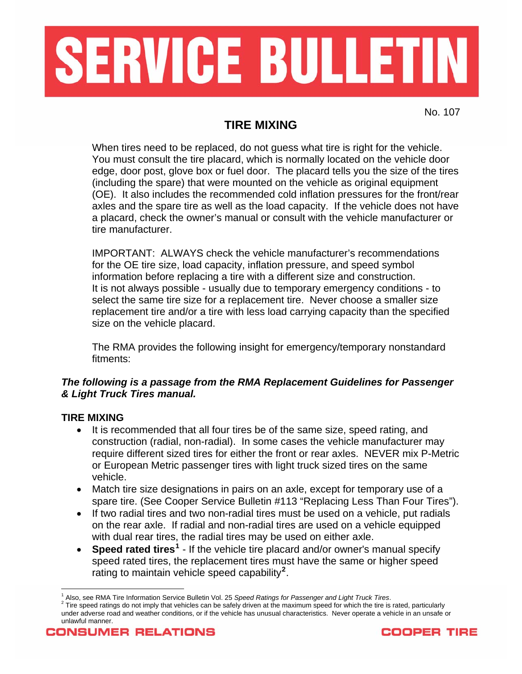

## **TIRE MIXING**

When tires need to be replaced, do not guess what tire is right for the vehicle. You must consult the tire placard, which is normally located on the vehicle door edge, door post, glove box or fuel door. The placard tells you the size of the tires (including the spare) that were mounted on the vehicle as original equipment (OE). It also includes the recommended cold inflation pressures for the front/rear axles and the spare tire as well as the load capacity. If the vehicle does not have a placard, check the owner's manual or consult with the vehicle manufacturer or tire manufacturer.

IMPORTANT: ALWAYS check the vehicle manufacturer's recommendations for the OE tire size, load capacity, inflation pressure, and speed symbol information before replacing a tire with a different size and construction. It is not always possible - usually due to temporary emergency conditions - to select the same tire size for a replacement tire. Never choose a smaller size replacement tire and/or a tire with less load carrying capacity than the specified size on the vehicle placard.

The RMA provides the following insight for emergency/temporary nonstandard fitments:

## *The following is a passage from the RMA Replacement Guidelines for Passenger & Light Truck Tires manual.*

## **TIRE MIXING**

 $\overline{a}$ 

- It is recommended that all four tires be of the same size, speed rating, and construction (radial, non-radial). In some cases the vehicle manufacturer may require different sized tires for either the front or rear axles. NEVER mix P-Metric or European Metric passenger tires with light truck sized tires on the same vehicle.
- Match tire size designations in pairs on an axle, except for temporary use of a spare tire. (See Cooper Service Bulletin #113 "Replacing Less Than Four Tires").
- If two radial tires and two non-radial tires must be used on a vehicle, put radials on the rear axle. If radial and non-radial tires are used on a vehicle equipped with dual rear tires, the radial tires may be used on either axle.
- Speed rated tires<sup>[1](#page-0-0)</sup> If the vehicle tire placard and/or owner's manual specify speed rated tires, the replacement tires must have the same or higher speed rating to maintain vehicle speed capability**[2](#page-0-1)** .



<sup>&</sup>lt;sup>1</sup> Also, see RMA Tire Information Service Bulletin Vol. 25 *Speed Ratings for Passenger and Light Truck Tires.*<br><sup>2</sup> Tire apoed retings do not imply that vabiales asp be asfaly driven at the maximum apoed for which the tir

<span id="page-0-1"></span><span id="page-0-0"></span>Tire speed ratings do not imply that vehicles can be safely driven at the maximum speed for which the tire is rated, particularly under adverse road and weather conditions, or if the vehicle has unusual characteristics. Never operate a vehicle in an unsafe or unlawful manner.